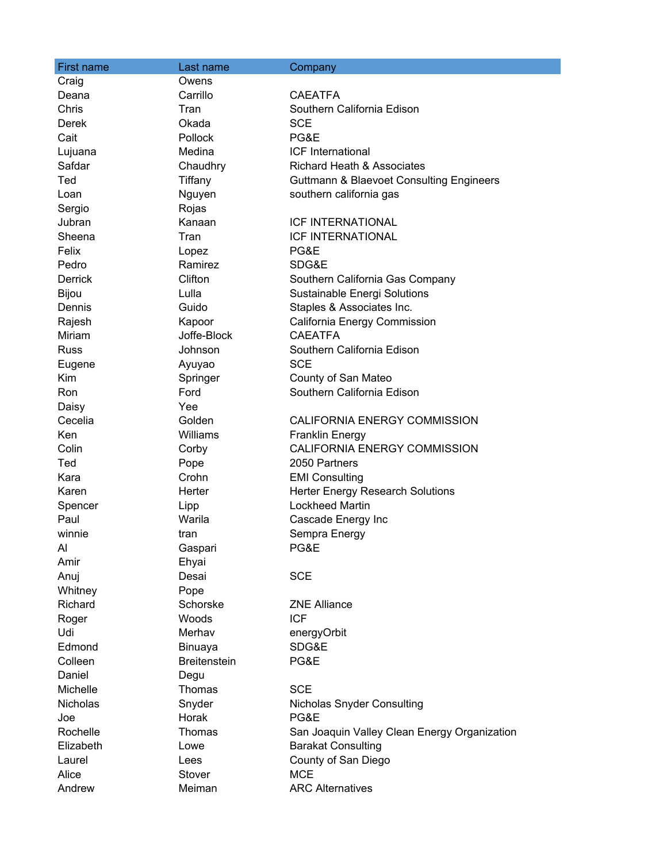| First name     | Last name           | Company                                             |
|----------------|---------------------|-----------------------------------------------------|
| Craig          | Owens               |                                                     |
| Deana          | Carrillo            | <b>CAEATFA</b>                                      |
| Chris          | Tran                | Southern California Edison                          |
| Derek          | Okada               | <b>SCE</b>                                          |
| Cait           | Pollock             | PG&E                                                |
| Lujuana        | Medina              | <b>ICF</b> International                            |
| Safdar         | Chaudhry            | <b>Richard Heath &amp; Associates</b>               |
| Ted            | Tiffany             | <b>Guttmann &amp; Blaevoet Consulting Engineers</b> |
| Loan           | Nguyen              | southern california gas                             |
| Sergio         | Rojas               |                                                     |
| Jubran         | Kanaan              | <b>ICF INTERNATIONAL</b>                            |
| Sheena         | Tran                | <b>ICF INTERNATIONAL</b>                            |
| Felix          | Lopez               | PG&E                                                |
| Pedro          | Ramirez             | SDG&E                                               |
| <b>Derrick</b> | Clifton             | Southern California Gas Company                     |
| Bijou          | Lulla               | Sustainable Energi Solutions                        |
| Dennis         | Guido               | Staples & Associates Inc.                           |
| Rajesh         | Kapoor              | California Energy Commission                        |
| Miriam         | Joffe-Block         | <b>CAEATFA</b>                                      |
| <b>Russ</b>    | Johnson             | Southern California Edison                          |
| Eugene         | Ayuyao              | <b>SCE</b>                                          |
| Kim            | Springer            | County of San Mateo                                 |
| <b>Ron</b>     | Ford                | Southern California Edison                          |
| Daisy          | Yee                 |                                                     |
| Cecelia        | Golden              | CALIFORNIA ENERGY COMMISSION                        |
| Ken            | Williams            | <b>Franklin Energy</b>                              |
| Colin          | Corby               | CALIFORNIA ENERGY COMMISSION                        |
| Ted            | Pope                | 2050 Partners                                       |
| Kara           | Crohn               | <b>EMI Consulting</b>                               |
| Karen          | Herter              | <b>Herter Energy Research Solutions</b>             |
| Spencer        | Lipp                | <b>Lockheed Martin</b>                              |
| Paul           | Warila              | Cascade Energy Inc                                  |
| winnie         | tran                | Sempra Energy                                       |
| Al             | Gaspari             | PG&E                                                |
| Amir           | Ehyai               |                                                     |
| Anuj           | Desai               | <b>SCE</b>                                          |
| Whitney        | Pope                |                                                     |
| Richard        | Schorske            | <b>ZNE Alliance</b>                                 |
| Roger          | Woods               | <b>ICF</b>                                          |
| Udi            | Merhav              | energyOrbit                                         |
| Edmond         | Binuaya             | SDG&E                                               |
| Colleen        | <b>Breitenstein</b> | PG&E                                                |
| Daniel         | Degu                |                                                     |
| Michelle       | Thomas              | <b>SCE</b>                                          |
| Nicholas       | Snyder              | <b>Nicholas Snyder Consulting</b>                   |
| Joe            | Horak               | PG&E                                                |
| Rochelle       | Thomas              | San Joaquin Valley Clean Energy Organization        |
| Elizabeth      | Lowe                | <b>Barakat Consulting</b>                           |
| Laurel         | Lees                | County of San Diego                                 |
| Alice          | Stover              | <b>MCE</b>                                          |
| Andrew         | Meiman              | <b>ARC Alternatives</b>                             |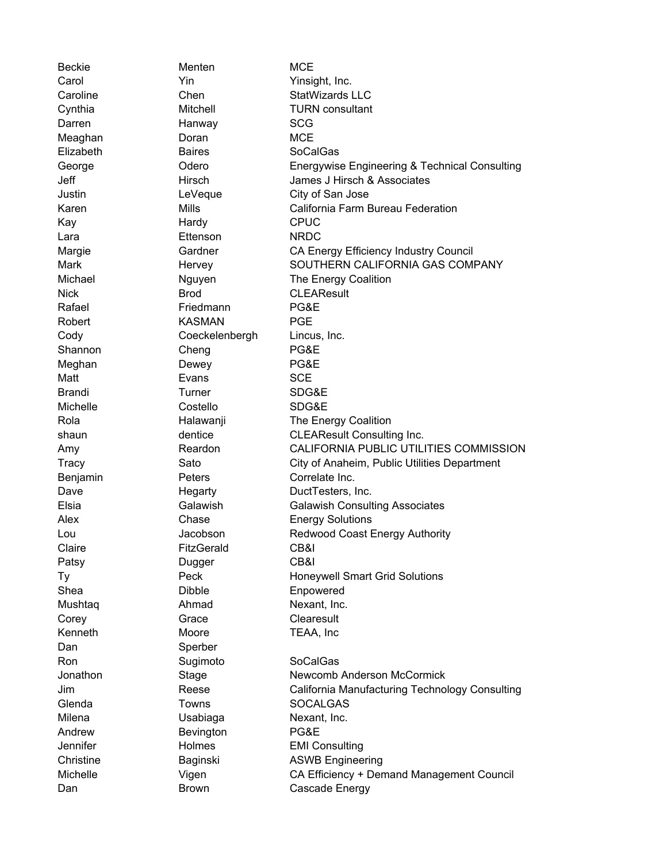Dan Sperber

Beckie Menten Menten MCE Carol Yin Yinsight, Inc. Darren Hanway SCG Meaghan **Doran** Doran MCE Elizabeth Baires SoCalGas Kay **Hardy** CPUC Lara **Ettenson** NRDC Nick Brod CLEAResult Rafael **Friedmann** PG&E Robert **KASMAN** PGE Cody Coeckelenbergh Lincus, Inc. Shannon Cheng **Cheng** PG&E Meghan Dewey **PG&E** Matt **Evans** Evans SCE Brandi Turner SDG&E Michelle Costello SDG&E Benjamin **Peters** Peters Correlate Inc. Claire FitzGerald CB&I Patsy Dugger CB&I Shea Dibble Enpowered Mushtaq **Ahmad** Nexant, Inc. Corey Grace Clearesult Kenneth Moore TEAA, Inc Ron Sugimoto SoCalGas Glenda Towns SOCALGAS Milena **Usabiaga** Nexant, Inc. Andrew **Bevington PG&E** Jennifer **Holmes** EMI Consulting

Caroline Chen Chen StatWizards LLC Cynthia Mitchell TURN consultant George Odero Energywise Engineering & Technical Consulting Jeff Hirsch James J Hirsch & Associates Justin LeVeque City of San Jose Karen Mills California Farm Bureau Federation Margie **Gardner** CA Energy Efficiency Industry Council Mark **Hervey SOUTHERN CALIFORNIA GAS COMPANY** Michael Michael Nguyen The Energy Coalition Rola **Halawanji** The Energy Coalition shaun dentice CLEAResult Consulting Inc. Amy Reardon CALIFORNIA PUBLIC UTILITIES COMMISSION Tracy Sato Sato City of Anaheim, Public Utilities Department Dave **Hegarty** DuctTesters, Inc. Elsia Galawish Galawish Consulting Associates Alex Chase Energy Solutions Lou Jacobson Redwood Coast Energy Authority Ty **Peck** Honeywell Smart Grid Solutions Jonathon Stage Newcomb Anderson McCormick Jim Reese California Manufacturing Technology Consulting Christine **Baginski** ASWB Engineering Michelle Vigen CA Efficiency + Demand Management Council Dan Brown Brown Cascade Energy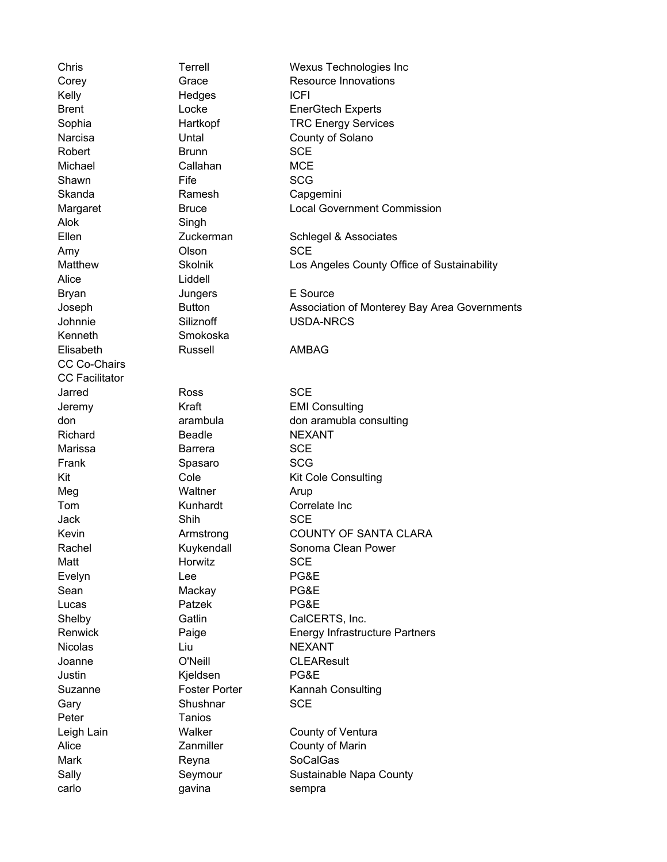Alok Singh Alice Liddell Kenneth Smokoska CC Co-Chairs CC Facilitator Peter Tanios

Chris Terrell Wexus Technologies Inc Corey Corea Grace Resource Innovations Kelly Hedges ICFI Robert Brunn SCE Michael Callahan MCE Shawn Fife SCG Skanda Ramesh Capgemini Amy Clson Communications CCE Bryan Jungers E Source Elisabeth Russell AMBAG Jarred Ross SCE Richard Beadle NEXANT Marissa **Barrera** SCE Frank Spasaro SCG Meg Waltner Arup Jack Shih Shih SCE Matt **Matt** Horwitz SCE Evelyn Lee **Dealer Lee** PG&E Sean Mackay PG&E Lucas Patzek PG&E Nicolas Liu Liu NEXANT Justin Kjeldsen PG&E Gary Shushnar SCE Mark **Reyna** Reyna SoCalGas carlo gavina sempra

Brent Locke EnerGtech Experts Sophia **Hartkopf** TRC Energy Services Narcisa **Untal** Untal County of Solano Margaret **Bruce** Bruce **Local Government Commission** Ellen Zuckerman Schlegel & Associates Matthew **Skolnik** Los Angeles County Office of Sustainability Joseph Button Association of Monterey Bay Area Governments Johnnie Siliznoff USDA-NRCS Jeremy **Kraft** Kraft **EMI Consulting** don arambula don aramubla consulting Kit Cole Consulting Cole Kit Cole Consulting Tom Kunhardt Correlate Inc Kevin **Armstrong COUNTY OF SANTA CLARA** Rachel **Kuykendall** Sonoma Clean Power Shelby Gatlin CalCERTS, Inc. Renwick Paige **Paige** Energy Infrastructure Partners Joanne **O'Neill** CLEAResult Suzanne Foster Porter Kannah Consulting Leigh Lain **Walker** County of Ventura Alice **Zanmiller** County of Marin Sally Seymour Sustainable Napa County